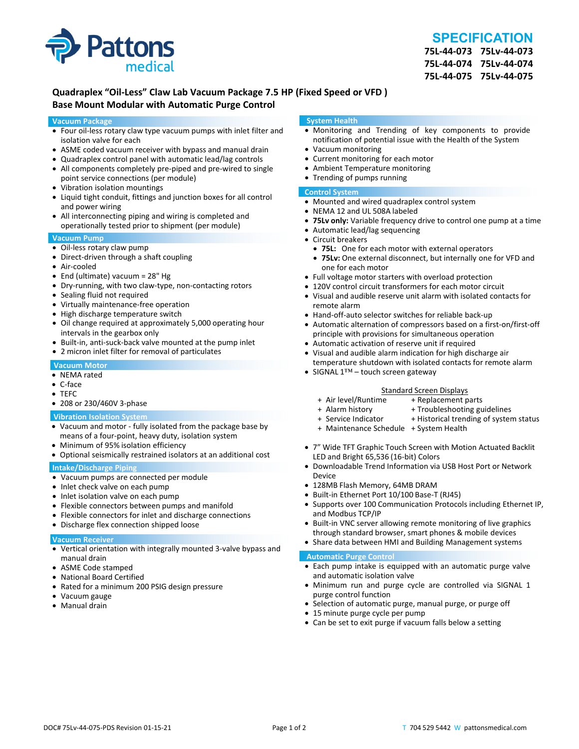

## **SPECIFICATION**

**75L‐44‐073 75Lv‐44‐073 75L‐44‐074 75Lv‐44‐074 75L‐44‐075 75Lv‐44‐075**

## **Quadraplex "Oil‐Less" Claw Lab Vacuum Package 7.5 HP (Fixed Speed or VFD ) Base Mount Modular with Automatic Purge Control**

#### **Vacuum Package**

- Four oil‐less rotary claw type vacuum pumps with inlet filter and isolation valve for each
- ASME coded vacuum receiver with bypass and manual drain
- Quadraplex control panel with automatic lead/lag controls
- All components completely pre-piped and pre-wired to single point service connections (per module)
- Vibration isolation mountings
- Liquid tight conduit, fittings and junction boxes for all control and power wiring
- All interconnecting piping and wiring is completed and operationally tested prior to shipment (per module)

#### **Vacuum Pump**

- Oil-less rotary claw pump
- Direct-driven through a shaft coupling
- Air‐cooled
- End (ultimate) vacuum = 28" Hg
- Dry-running, with two claw-type, non-contacting rotors
- Sealing fluid not required
- Virtually maintenance-free operation
- High discharge temperature switch
- Oil change required at approximately 5,000 operating hour intervals in the gearbox only
- Built-in, anti-suck-back valve mounted at the pump inlet
- 2 micron inlet filter for removal of particulates

#### **Vacuum Motor**

- NEMA rated
- C‐face
- TEFC
- 208 or 230/460V 3‐phase

#### **Vibration Isolation System**

- Vacuum and motor ‐ fully isolated from the package base by means of a four‐point, heavy duty, isolation system
- Minimum of 95% isolation efficiency
- Optional seismically restrained isolators at an additional cost

#### **Intake/Discharge Piping**

- Vacuum pumps are connected per module
- Inlet check valve on each pump
- Inlet isolation valve on each pump
- Flexible connectors between pumps and manifold
- Flexible connectors for inlet and discharge connections
- Discharge flex connection shipped loose

#### **Vacuum Receiver**

- Vertical orientation with integrally mounted 3‐valve bypass and manual drain
- ASME Code stamped
- National Board Certified
- Rated for a minimum 200 PSIG design pressure
- Vacuum gauge
- Manual drain

#### **System Health**

- Monitoring and Trending of key components to provide notification of potential issue with the Health of the System
- Vacuum monitoring
- Current monitoring for each motor
- Ambient Temperature monitoring
- Trending of pumps running

### **Control System**

- Mounted and wired quadraplex control system
- NEMA 12 and UL 508A labeled
- **75Lv only:** Variable frequency drive to control one pump at a time
- Automatic lead/lag sequencing
- Circuit breakers
- **75L:** One for each motor with external operators
- **75Lv:** One external disconnect, but internally one for VFD and one for each motor
- Full voltage motor starters with overload protection
- 120V control circuit transformers for each motor circuit
- Visual and audible reserve unit alarm with isolated contacts for remote alarm
- Hand-off-auto selector switches for reliable back-up
- Automatic alternation of compressors based on a first-on/first-off principle with provisions for simultaneous operation
- Automatic activation of reserve unit if required
- Visual and audible alarm indication for high discharge air temperature shutdown with isolated contacts for remote alarm
- SIGNAL 1™ touch screen gateway

# Standard Screen Displays<br>Air level/Runtime + Replacement p +

- + Air level/Runtime + Replacement parts
- 
- + Troubleshooting guidelines
- + Service Indicator + Historical trending of system status
- + Maintenance Schedule + System Health
- 7" Wide TFT Graphic Touch Screen with Motion Actuated Backlit LED and Bright 65,536 (16‐bit) Colors
- Downloadable Trend Information via USB Host Port or Network Device
- 128MB Flash Memory, 64MB DRAM
- Built-in Ethernet Port 10/100 Base-T (RJ45)
- Supports over 100 Communication Protocols including Ethernet IP, and Modbus TCP/IP
- Built-in VNC server allowing remote monitoring of live graphics through standard browser, smart phones & mobile devices
- Share data between HMI and Building Management systems

#### **Automatic Purge Control**

- Each pump intake is equipped with an automatic purge valve and automatic isolation valve
- Minimum run and purge cycle are controlled via SIGNAL 1 purge control function
- Selection of automatic purge, manual purge, or purge off
- 15 minute purge cycle per pump
- Can be set to exit purge if vacuum falls below a setting